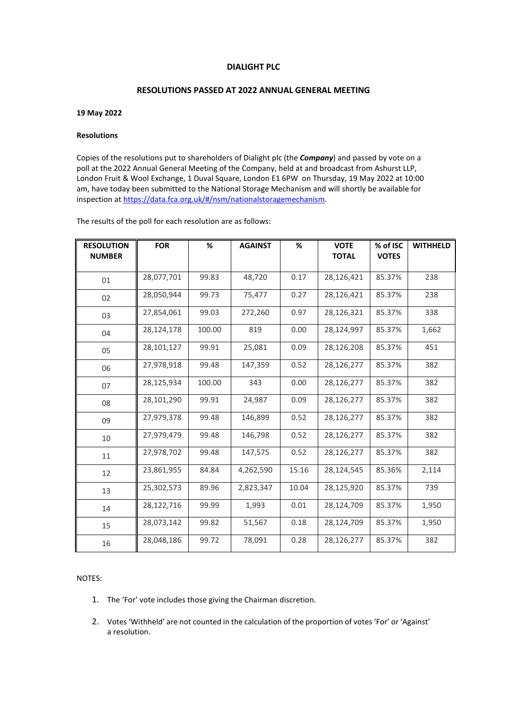## **DIALIGHT PLC**

## **RESOLUTIONS PASSED AT 2022 ANNUAL GENERAL MEETING**

## **19 May 2022**

## **Resolutions**

Copies of the resolutions put to shareholders of Dialight plc (the *Company*) and passed by vote on a poll at the 2022 Annual General Meeting of the Company, held at and broadcast from Ashurst LLP, London Fruit & Wool Exchange, 1 Duval Square, London E1 6PW on Thursday, 19 May 2022 at 10:00 am, have today been submitted to the National Storage Mechanism and will shortly be available for inspection at https://data.fca.org.uk/#/nsm/nationalstoragemechanism.

The results of the poll for each resolution are as follows:

| <b>RESOLUTION</b><br><b>NUMBER</b> | <b>FOR</b> | %      | <b>AGAINST</b> | %     | <b>VOTE</b><br><b>TOTAL</b> | % of ISC<br><b>VOTES</b> | <b>WITHHELD</b> |
|------------------------------------|------------|--------|----------------|-------|-----------------------------|--------------------------|-----------------|
| 01                                 | 28,077,701 | 99.83  | 48,720         | 0.17  | 28,126,421                  | 85.37%                   | 238             |
| 02                                 | 28,050,944 | 99.73  | 75,477         | 0.27  | 28,126,421                  | 85.37%                   | 238             |
| 03                                 | 27,854,061 | 99.03  | 272,260        | 0.97  | 28,126,321                  | 85.37%                   | 338             |
| 04                                 | 28,124,178 | 100.00 | 819            | 0.00  | 28,124,997                  | 85.37%                   | 1,662           |
| 05                                 | 28,101,127 | 99.91  | 25,081         | 0.09  | 28,126,208                  | 85.37%                   | 451             |
| 06                                 | 27,978,918 | 99.48  | 147,359        | 0.52  | 28,126,277                  | 85.37%                   | 382             |
| 07                                 | 28,125,934 | 100.00 | 343            | 0.00  | 28,126,277                  | 85.37%                   | 382             |
| 08                                 | 28,101,290 | 99.91  | 24,987         | 0.09  | 28,126,277                  | 85.37%                   | 382             |
| 09                                 | 27,979,378 | 99.48  | 146,899        | 0.52  | 28,126,277                  | 85.37%                   | 382             |
| 10                                 | 27,979,479 | 99.48  | 146,798        | 0.52  | 28,126,277                  | 85.37%                   | 382             |
| 11                                 | 27,978,702 | 99.48  | 147,575        | 0.52  | 28,126,277                  | 85.37%                   | 382             |
| 12                                 | 23,861,955 | 84.84  | 4,262,590      | 15.16 | 28,124,545                  | 85.36%                   | 2,114           |
| 13                                 | 25,302,573 | 89.96  | 2,823,347      | 10.04 | 28,125,920                  | 85.37%                   | 739             |
| 14                                 | 28,122,716 | 99.99  | 1,993          | 0.01  | 28,124,709                  | 85.37%                   | 1,950           |
| 15                                 | 28,073,142 | 99.82  | 51,567         | 0.18  | 28,124,709                  | 85.37%                   | 1,950           |
| 16                                 | 28,048,186 | 99.72  | 78,091         | 0.28  | 28,126,277                  | 85.37%                   | 382             |

NOTES:

- 1. The 'For' vote includes those giving the Chairman discretion.
- 2. Votes 'Withheld' are not counted in the calculation of the proportion of votes 'For' or 'Against' a resolution.